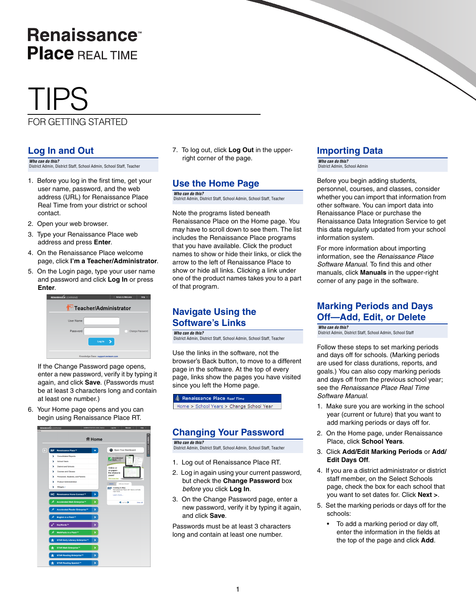# **Renaissance Place REAL TIME**

# TIPS

#### FOR GETTING STARTED

### **Log In and Out**

*Who can do this?*  District Admin, District Staff, School Admin, School Staff, Teacher

- 1. Before you log in the first time, get your user name, password, and the web address (URL) for Renaissance Place Real Time from your district or school contact.
- 2. Open your web browser.
- 3. Type your Renaissance Place web address and press **Enter**.
- 4. On the Renaissance Place welcome page, click **I'm a Teacher/Administrator**.
- 5. On the Login page, type your user name and password and click **Log In** or press **Enter**.



If the Change Password page opens, enter a new password, verify it by typing it again, and click **Save**. (Passwords must be at least 3 characters long and contain at least one number.)

6. Your Home page opens and you can begin using Renaissance Place RT.



7. To log out, click **Log Out** in the upperright corner of the page.

### **Use the Home Page**

*Who can do this?*  District Admin, District Staff, School Admin, School Staff, Teacher

Note the programs listed beneath Renaissance Place on the Home page. You may have to scroll down to see them. The list includes the Renaissance Place programs that you have available. Click the product names to show or hide their links, or click the arrow to the left of Renaissance Place to show or hide all links. Clicking a link under one of the product names takes you to a part of that program.

### **Navigate Using the Software's Links**

*Who can do this?*  District Admin, District Staff, School Admin, School Staff, Teacher

Use the links in the software, not the browser's Back button, to move to a different page in the software. At the top of every page, links show the pages you have visited since you left the Home page.

#### Renaissance Place Real Time

ne > School Years > Change School Year

#### **Changing Your Password**

*Who can do this?* 

District Admin, District Staff, School Admin, School Staff, Teacher

- 1. Log out of Renaissance Place RT.
- 2. Log in again using your current password, but check the **Change Password** box *before* you click **Log In**.
- 3. On the Change Password page, enter a new password, verify it by typing it again, and click **Save**.

Passwords must be at least 3 characters long and contain at least one number.

### **Importing Data**

*Who can do this?*  District Admin, School Admin

Before you begin adding students, personnel, courses, and classes, consider whether you can import that information from other software. You can import data into Renaissance Place or purchase the Renaissance Data Integration Service to get this data regularly updated from your school information system.

For more information about importing information, see the *Renaissance Place Software Manual*. To find this and other manuals, click **Manuals** in the upper-right corner of any page in the software.

#### **Marking Periods and Days Off—Add, Edit, or Delete**

*Who can do this?*  District Admin, District Staff, School Admin, School Staff

Follow these steps to set marking periods and days off for schools. (Marking periods are used for class durations, reports, and goals.) You can also copy marking periods and days off from the previous school year; see the *Renaissance Place Real Time Software Manual*.

- 1. Make sure you are working in the school year (current or future) that you want to add marking periods or days off for.
- 2. On the Home page, under Renaissance Place, click **School Years**.
- 3. Click **Add/Edit Marking Periods** or **Add/ Edit Days Off**.
- 4. If you are a district administrator or district staff member, on the Select Schools page, check the box for each school that you want to set dates for. Click **Next >**.
- 5. Set the marking periods or days off for the schools:
	- To add a marking period or day off, enter the information in the fields at the top of the page and click **Add**.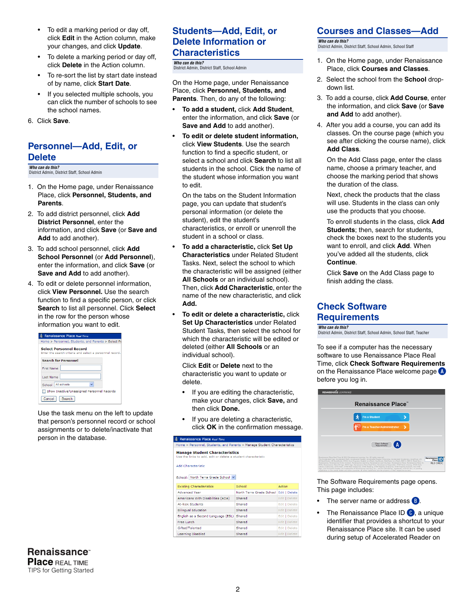- To edit a marking period or day off, click **Edit** in the Action column, make your changes, and click **Update**.
- To delete a marking period or day off, click **Delete** in the Action column.
- To re-sort the list by start date instead of by name, click **Start Date**.
- If you selected multiple schools, you can click the number of schools to see the school names.
- 6. Click **Save**.

#### **Personnel—Add, Edit, or Delete**

*Who can do this?*  District Admin, District Staff, School Admin

- 1. On the Home page, under Renaissance Place, click **Personnel, Students, and Parents**.
- 2. To add district personnel, click **Add District Personnel**, enter the information, and click **Save** (or **Save and Add** to add another).
- 3. To add school personnel, click **Add School Personnel** (or **Add Personnel**), enter the information, and click **Save** (or **Save and Add** to add another).
- 4. To edit or delete personnel information, click **View Personnel.** Use the search function to find a specific person, or click **Search** to list all personnel. Click **Select** in the row for the person whose information you want to edit.

| Renaissance Place Real Time                                                                |
|--------------------------------------------------------------------------------------------|
| Home > Personnel, Students, and Parents > Select Pe                                        |
| <b>Select Personnel Record</b><br>Enter the search criteria and select a personnel record. |
| <b>Search for Personnel</b>                                                                |
| <b>First Name</b>                                                                          |
| <b>Last Name</b>                                                                           |
| School All schools                                                                         |
| Show Inactive/Unassigned Personnel Records                                                 |
| Search<br>Cancel                                                                           |

Use the task menu on the left to update that person's personnel record or school assignments or to delete/inactivate that person in the database.

#### **Students—Add, Edit, or Delete Information or Characteristics**

#### *Who can do this?*  District Admin, District Staff, School Admin

On the Home page, under Renaissance Place, click **Personnel, Students, and Parents**. Then, do any of the following:

- **To add a student,** click **Add Student**, enter the information, and click **Save** (or **Save and Add** to add another).
- **To edit or delete student information,** click **View Students**. Use the search function to find a specific student, or select a school and click **Search** to list all students in the school. Click the name of the student whose information you want to edit.

On the tabs on the Student Information page, you can update that student's personal information (or delete the student), edit the student's characteristics, or enroll or unenroll the student in a school or class.

- **To add a characteristic,** click **Set Up Characteristics** under Related Student Tasks. Next, select the school to which the characteristic will be assigned (either **All Schools** or an individual school). Then, click **Add Characteristic**, enter the name of the new characteristic, and click **Add.**
- **To edit or delete a characteristic,** click **Set Up Characteristics** under Related Student Tasks, then select the school for which the characteristic will be edited or deleted (either **All Schools** or an individual school).

Click **Edit** or **Delete** next to the characteristic you want to update or delete.

- If you are editing the characteristic, make your changes, click **Save,** and then click **Done.**
- If you are deleting a characteristic, click **OK** in the confirmation message.

| Renaissance Place Real Time                                                                            |                          |               |
|--------------------------------------------------------------------------------------------------------|--------------------------|---------------|
| Home > Personnel, Students, and Parents > Manage Student Characteristics                               |                          |               |
| <b>Manage Student Characteristics</b><br>Use the links to add, edit or delete a student characteristic |                          |               |
| Add Characteristic                                                                                     |                          |               |
| School: North Terra Grade School V                                                                     |                          |               |
| <b>Existing Characteristics</b>                                                                        | School                   | <b>Action</b> |
| <b>Advanced Year</b>                                                                                   | North Terra Grade School | Edit   Delete |
| Americans With Disabilities (ADA)                                                                      | Shared                   | Edit   Delete |
| At-Rick Students                                                                                       | Shared                   | Edit   Delete |
| <b>Bilingual Education</b>                                                                             | Shared                   | Edit   Delete |
| English as a Second Language (ESL)                                                                     | Shared                   | Edit   Delete |
| Free Lunch                                                                                             | Shared                   | Edit   Delete |
| Gifted/Talented                                                                                        | Shared                   | Edit   Delete |
| Learning Disabled                                                                                      | Shared                   | Edit   Delete |

#### **Courses and Classes—Add**

*Who can do this?*  District Admin, District Staff, School Admin, School Staff

- 1. On the Home page, under Renaissance Place, click **Courses and Classes**.
- 2. Select the school from the **School** dropdown list.
- 3. To add a course, click **Add Course**, enter the information, and click **Save** (or **Save and Add** to add another).
- 4. After you add a course, you can add its classes. On the course page (which you see after clicking the course name), click **Add Class**.

On the Add Class page, enter the class name, choose a primary teacher, and choose the marking period that shows the duration of the class.

Next, check the products that the class will use. Students in the class can only use the products that you choose.

To enroll students in the class, click **Add Students**; then, search for students, check the boxes next to the students you want to enroll, and click **Add**. When you've added all the students, click **Continue**.

Click **Save** on the Add Class page to finish adding the class.

#### **Check Software Requirements**

*Who can do this?* 

District Admin, District Staff, School Admin, School Staff, Teacher

To see if a computer has the necessary software to use Renaissance Place Real Time, click **Check Software Requirements** on the Renaissance Place welcome page **A** before you log in.



The Software Requirements page opens. This page includes:

- The server name or address **B**.
- The Renaissance Place ID C, a unique identifier that provides a shortcut to your Renaissance Place site. It can be used during setup of Accelerated Reader on

**Renaissance**<sup>®</sup> **Place REAL TIME** TIPS for Getting Started